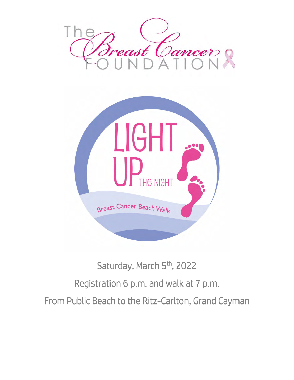



# Saturday, March 5<sup>th</sup>, 2022 Registration 6 p.m. and walk at 7 p.m. From Public Beach to the Ritz-Carlton, Grand Cayman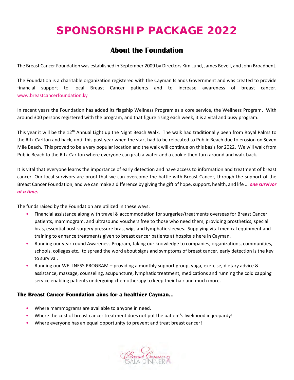## **SPONSORSHIP PACKAGE 2022**

### **About the Foundation**

The Breast Cancer Foundation was established in September 2009 by Directors Kim Lund, James Bovell, and John Broadbent.

The Foundation is a charitable organization registered with the Cayman Islands Government and was created to provide financial support to local Breast Cancer patients and to increase awareness of breast cancer. [www.breastcancerfoundation.ky](http://www.breastcancerfoundation.ky/) 

In recent years the Foundation has added its flagship Wellness Program as a core service, the Wellness Program. With around 300 persons registered with the program, and that figure rising each week, it is a vital and busy program.

This year it will be the 12<sup>th</sup> Annual Light up the Night Beach Walk. The walk had traditionally been from Royal Palms to the Ritz-Carlton and back, until this past year when the start had to be relocated to Public Beach due to erosion on Seven Mile Beach. This proved to be a very popular location and the walk will continue on this basis for 2022. We will walk from Public Beach to the Ritz-Carlton where everyone can grab a water and a cookie then turn around and walk back.

It is vital that everyone learns the importance of early detection and have access to information and treatment of breast cancer. Our local survivors are proof that we can overcome the battle with Breast Cancer, through the support of the Breast Cancer Foundation, and we can make a difference by giving the gift of hope, support, health, and life ... *one survivor at a time.* 

The funds raised by the Foundation are utilized in these ways:

- Financial assistance along with travel & accommodation for surgeries/treatments overseas for Breast Cancer patients, mammogram, and ultrasound vouchers free to those who need them, providing prosthetics, special bras, essential post-surgery pressure bras, wigs and lymphatic sleeves. Supplying vital medical equipment and training to enhance treatments given to breast cancer patients at hospitals here in Cayman.
- Running our year-round Awareness Program, taking our knowledge to companies, organizations, communities, schools, colleges etc., to spread the word about signs and symptoms of breast cancer, early detection is the key to survival.
- Running our WELLNESS PROGRAM providing a monthly support group, yoga, exercise, dietary advice & assistance, massage, counseling, acupuncture, lymphatic treatment, medications and running the cold capping service enabling patients undergoing chemotherapy to keep their hair and much more.

#### **The Breast Cancer Foundation aims for a healthier Cayman…**

- Where mammograms are available to anyone in need.
- Where the cost of breast cancer treatment does not put the patient's livelihood in jeopardy!
- Where everyone has an equal opportunity to prevent and treat breast cancer!

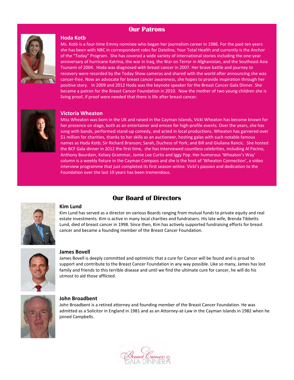#### **Our Patrons**



#### **Hoda Kotb**

Ms. Kotb is a four-time Emmy nominee who began her journalism career in 1986. For the past ten years she has been with NBC in correspondent roles for Dateline, Your Total Health and currently is the Anchor of the "Today" Program. She has covered a wide variety of international stories including the one-year anniversary of hurricane Katrina, the war in Iraq, the War on Terror in Afghanistan, and the Southeast Asia Tsunami of 2004. Hoda was diagnosed with breast cancer in 2007. Her brave battle and journey to recovery were recorded by the Today Show cameras and shared with the world after announcing she was cancer-free. Now an advocate for breast cancer awareness, she hopes to provide inspiration through her positive story. In 2009 and 2012 Hoda was the keynote speaker for the Breast Cancer Gala Dinner. She became a patron for the Breast Cancer Foundation in 2010. Now the mother of two young children she is living proof, if proof were needed that there is life after breast cancer.



#### **Victoria Wheaton**

Miss Wheaton was born in the UK and raised in the Cayman Islands, Vicki Wheaton has become known for her presence on stage, both as an entertainer and emcee for high-profile events. Over the years, she has sung with bands, performed stand-up comedy, and acted in local productions. Wheaton has garnered over \$1 million for charities, thanks to her skills as an auctioneer, hosting galas with such notable famous names as Hoda Kotb; Sir Richard Branson; Sarah, Duchess of York; and Bill and Giuliana Rancic. She hosted the BCF Gala dinner in 2012 the first time, she has interviewed countless celebrities, including Al Pacino, Anthony Bourdain, Kelsey Grammar, Jamie Lee Curtis and Iggy Pop. Her humorous 'Wheaton's Way' column is a weekly fixture in the Cayman Compass and she is the host of 'Wheaton Connection', a video interview programme that just completed its first season online. Vicki's passion and dedication to the Foundation over the last 10 years has been tremendous.



#### **Kim Lund**

#### **Our Board of Directors**

Kim Lund has served as a director on various Boards ranging from mutual funds to private equity and real estate investments. Kim is active in many local charities and fundraisers. His late wife, Brenda Tibbetts Lund, died of breast cancer in 1998. Since then, Kim has actively supported fundraising efforts for breast cancer and became a founding member of the Breast Cancer Foundation.



#### **James Bovell**

James Bovell is deeply committed and optimistic that a cure for Cancer will be found and is proud to support and contribute to the Breast Cancer Foundation in any way possible. Like so many, James has lost family and friends to this terrible disease and until we find the ultimate cure for cancer, he will do his utmost to aid those afflicted.



#### **John Broadbent**

John Broadbent is a retired attorney and founding member of the Breast Cancer Foundation. He was admitted as a Solicitor in England in 1981 and as an Attorney-at-Law in the Cayman Islands in 1982 when he joined Campbells.